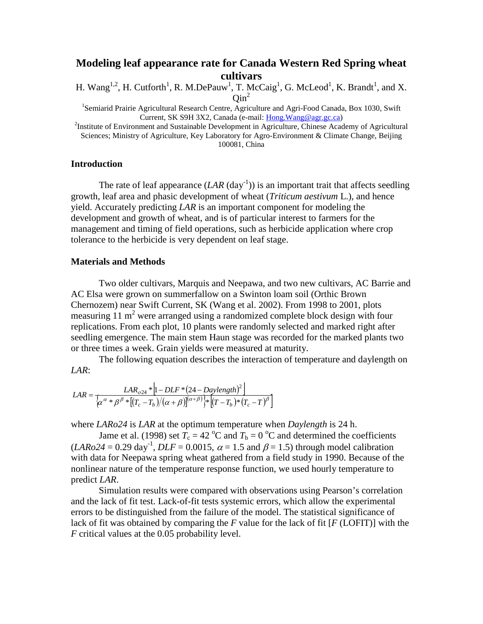# **Modeling leaf appearance rate for Canada Western Red Spring wheat cultivars**

H. Wang<sup>1,2</sup>, H. Cutforth<sup>1</sup>, R. M.DePauw<sup>1</sup>, T. McCaig<sup>1</sup>, G. McLeod<sup>1</sup>, K. Brandt<sup>1</sup>, and X.  $Oin^2$ 

<sup>1</sup>Semiarid Prairie Agricultural Research Centre, Agriculture and Agri-Food Canada, Box 1030, Swift <sup>2</sup> Institute of Environment and Sustainable Development in Agriculture, Chinese Academy of Agricultural<sup>2</sup>

Sciences; Ministry of Agriculture, Key Laboratory for Agro-Environment & Climate Change, Beijing 100081, China

### **Introduction**

The rate of leaf appearance  $(LAR (day^{-1}))$  is an important trait that affects seedling growth, leaf area and phasic development of wheat (*Triticum aestivum* L.), and hence yield. Accurately predicting *LAR* is an important component for modeling the development and growth of wheat, and is of particular interest to farmers for the management and timing of field operations, such as herbicide application where crop tolerance to the herbicide is very dependent on leaf stage.

## **Materials and Methods**

Two older cultivars, Marquis and Neepawa, and two new cultivars, AC Barrie and AC Elsa were grown on summerfallow on a Swinton loam soil (Orthic Brown Chernozem) near Swift Current, SK (Wang et al. 2002). From 1998 to 2001, plots measuring 11  $m<sup>2</sup>$  were arranged using a randomized complete block design with four replications. From each plot, 10 plants were randomly selected and marked right after seedling emergence. The main stem Haun stage was recorded for the marked plants two or three times a week. Grain yields were measured at maturity.

The following equation describes the interaction of temperature and daylength on *LAR*:

$$
LAR = \frac{LAR_{o24} * \left[1 - DLF * (24 - Daylength)^2\right]}{\left[\alpha^{\alpha} * \beta^{\beta} * \left[(T_c - T_b)/( \alpha + \beta)\right]^{(\alpha + \beta)}\right] * \left[(T - T_b) * (T_c - T)^{\beta}\right]}
$$

where *LARo24* is *LAR* at the optimum temperature when *Daylength* is 24 h.

Jame et al. (1998) set  $T_c = 42 \text{ °C}$  and  $T_b = 0 \text{ °C}$  and determined the coefficients  $(LARo24 = 0.29 \text{ day}^{-1}, DLF = 0.0015, \alpha = 1.5 \text{ and } \beta = 1.5)$  through model calibration with data for Neepawa spring wheat gathered from a field study in 1990. Because of the nonlinear nature of the temperature response function, we used hourly temperature to predict *LAR*.

Simulation results were compared with observations using Pearson's correlation and the lack of fit test. Lack-of-fit tests systemic errors, which allow the experimental errors to be distinguished from the failure of the model. The statistical significance of lack of fit was obtained by comparing the *F* value for the lack of fit [*F* (LOFIT)] with the *F* critical values at the 0.05 probability level.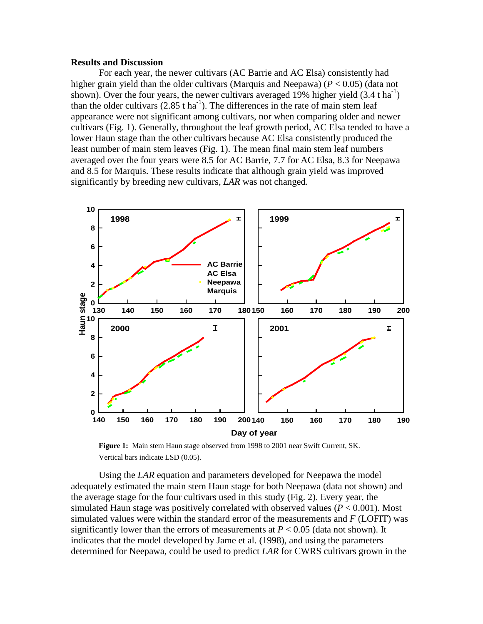#### **Results and Discussion**

For each year, the newer cultivars (AC Barrie and AC Elsa) consistently had higher grain yield than the older cultivars (Marquis and Neepawa) (*P* < 0.05) (data not shown). Over the four years, the newer cultivars averaged 19% higher yield  $(3.4 \text{ t ha}^{-1})$ than the older cultivars  $(2.85 \text{ t ha}^{-1})$ . The differences in the rate of main stem leaf appearance were not significant among cultivars, nor when comparing older and newer cultivars (Fig. 1). Generally, throughout the leaf growth period, AC Elsa tended to have a lower Haun stage than the other cultivars because AC Elsa consistently produced the least number of main stem leaves (Fig. 1). The mean final main stem leaf numbers averaged over the four years were 8.5 for AC Barrie, 7.7 for AC Elsa, 8.3 for Neepawa and 8.5 for Marquis. These results indicate that although grain yield was improved significantly by breeding new cultivars, *LAR* was not changed.



**Figure 1:** Main stem Haun stage observed from 1998 to 2001 near Swift Current, SK. Vertical bars indicate LSD (0.05).

Using the *LAR* equation and parameters developed for Neepawa the model adequately estimated the main stem Haun stage for both Neepawa (data not shown) and the average stage for the four cultivars used in this study (Fig. 2). Every year, the simulated Haun stage was positively correlated with observed values  $(P < 0.001)$ . Most simulated values were within the standard error of the measurements and *F* (LOFIT) was significantly lower than the errors of measurements at  $P < 0.05$  (data not shown). It indicates that the model developed by Jame et al. (1998), and using the parameters determined for Neepawa, could be used to predict *LAR* for CWRS cultivars grown in the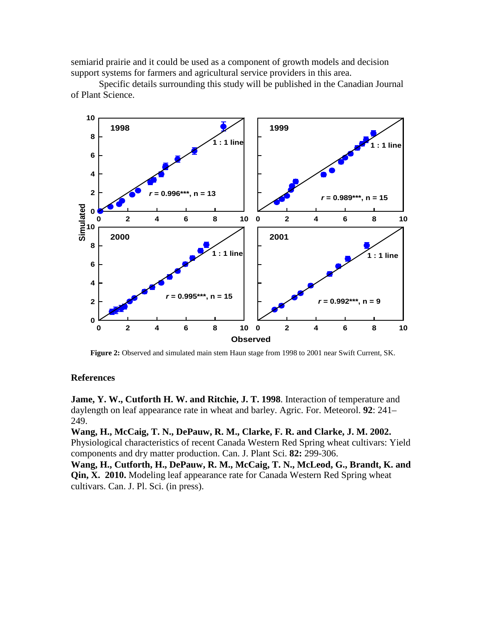semiarid prairie and it could be used as a component of growth models and decision support systems for farmers and agricultural service providers in this area.

Specific details surrounding this study will be published in the Canadian Journal of Plant Science.



**Figure 2:** Observed and simulated main stem Haun stage from 1998 to 2001 near Swift Current, SK.

# **References**

**Jame, Y. W., Cutforth H. W. and Ritchie, J. T. 1998**. Interaction of temperature and daylength on leaf appearance rate in wheat and barley. Agric. For. Meteorol. **92**: 241– 249.

**Wang, H., McCaig, T. N., DePauw, R. M., Clarke, F. R. and Clarke, J. M. 2002.** Physiological characteristics of recent Canada Western Red Spring wheat cultivars: Yield components and dry matter production. Can. J. Plant Sci. **82:** 299-306.

**Wang, H., Cutforth, H., DePauw, R. M., McCaig, T. N., McLeod, G., Brandt, K. and Qin, X. 2010.** Modeling leaf appearance rate for Canada Western Red Spring wheat cultivars. Can. J. Pl. Sci. (in press).